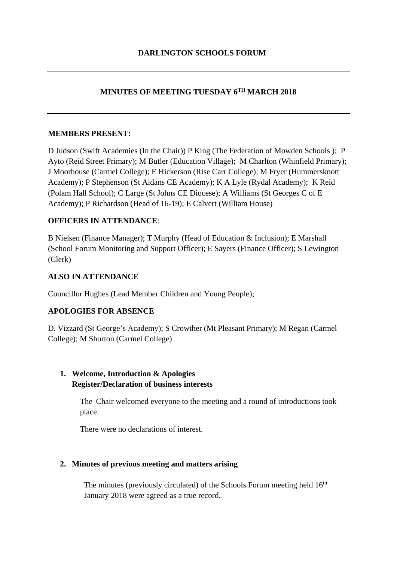# **MINUTES OF MEETING TUESDAY 6TH MARCH 2018**

#### **MEMBERS PRESENT:**

D Judson (Swift Academies (In the Chair)) P King (The Federation of Mowden Schools ); P Ayto (Reid Street Primary); M Butler (Education Village); M Charlton (Whinfield Primary); J Moorhouse (Carmel College); E Hickerson (Rise Carr College); M Fryer (Hummersknott Academy); P Stephenson (St Aidans CE Academy); K A Lyle (Rydal Academy); K Reid (Polam Hall School); C Large (St Johns CE Diocese); A Williams (St Georges C of E Academy); P Richardson (Head of 16-19); E Calvert (William House)

### **OFFICERS IN ATTENDANCE**:

B Nielsen (Finance Manager); T Murphy (Head of Education & Inclusion); E Marshall (School Forum Monitoring and Support Officer); E Sayers (Finance Officer); S Lewington (Clerk)

### **ALSO IN ATTENDANCE**

Councillor Hughes (Lead Member Children and Young People);

### **APOLOGIES FOR ABSENCE**

D. Vizzard (St George's Academy); S Crowther (Mt Pleasant Primary); M Regan (Carmel College); M Shorton (Carmel College)

## **1. Welcome, Introduction & Apologies Register/Declaration of business interests**

The Chair welcomed everyone to the meeting and a round of introductions took place.

There were no declarations of interest.

#### **2. Minutes of previous meeting and matters arising**

The minutes (previously circulated) of the Schools Forum meeting held  $16<sup>th</sup>$ January 2018 were agreed as a true record.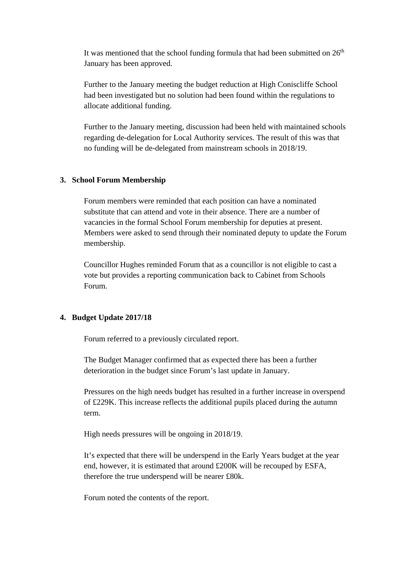It was mentioned that the school funding formula that had been submitted on  $26<sup>th</sup>$ January has been approved.

Further to the January meeting the budget reduction at High Coniscliffe School had been investigated but no solution had been found within the regulations to allocate additional funding.

Further to the January meeting, discussion had been held with maintained schools regarding de-delegation for Local Authority services. The result of this was that no funding will be de-delegated from mainstream schools in 2018/19.

#### **3. School Forum Membership**

Forum members were reminded that each position can have a nominated substitute that can attend and vote in their absence. There are a number of vacancies in the formal School Forum membership for deputies at present. Members were asked to send through their nominated deputy to update the Forum membership.

Councillor Hughes reminded Forum that as a councillor is not eligible to cast a vote but provides a reporting communication back to Cabinet from Schools Forum.

#### **4. Budget Update 2017/18**

Forum referred to a previously circulated report.

The Budget Manager confirmed that as expected there has been a further deterioration in the budget since Forum's last update in January.

Pressures on the high needs budget has resulted in a further increase in overspend of £229K. This increase reflects the additional pupils placed during the autumn term.

High needs pressures will be ongoing in 2018/19.

It's expected that there will be underspend in the Early Years budget at the year end, however, it is estimated that around £200K will be recouped by ESFA, therefore the true underspend will be nearer £80k.

Forum noted the contents of the report.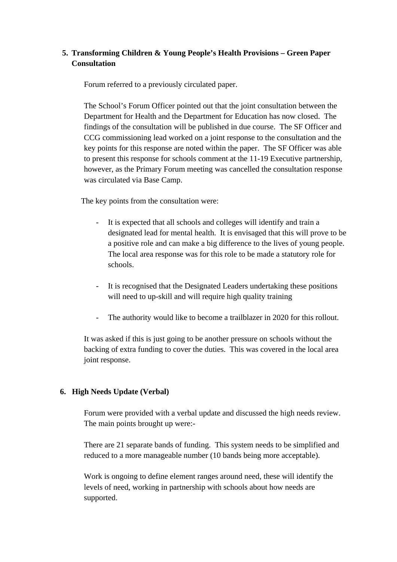# **5. Transforming Children & Young People's Health Provisions – Green Paper Consultation**

Forum referred to a previously circulated paper.

The School's Forum Officer pointed out that the joint consultation between the Department for Health and the Department for Education has now closed. The findings of the consultation will be published in due course. The SF Officer and CCG commissioning lead worked on a joint response to the consultation and the key points for this response are noted within the paper. The SF Officer was able to present this response for schools comment at the 11-19 Executive partnership, however, as the Primary Forum meeting was cancelled the consultation response was circulated via Base Camp.

The key points from the consultation were:

- It is expected that all schools and colleges will identify and train a designated lead for mental health. It is envisaged that this will prove to be a positive role and can make a big difference to the lives of young people. The local area response was for this role to be made a statutory role for schools.
- It is recognised that the Designated Leaders undertaking these positions will need to up-skill and will require high quality training
- The authority would like to become a trailblazer in 2020 for this rollout.

It was asked if this is just going to be another pressure on schools without the backing of extra funding to cover the duties. This was covered in the local area joint response.

### **6. High Needs Update (Verbal)**

Forum were provided with a verbal update and discussed the high needs review. The main points brought up were:-

There are 21 separate bands of funding. This system needs to be simplified and reduced to a more manageable number (10 bands being more acceptable).

Work is ongoing to define element ranges around need, these will identify the levels of need, working in partnership with schools about how needs are supported.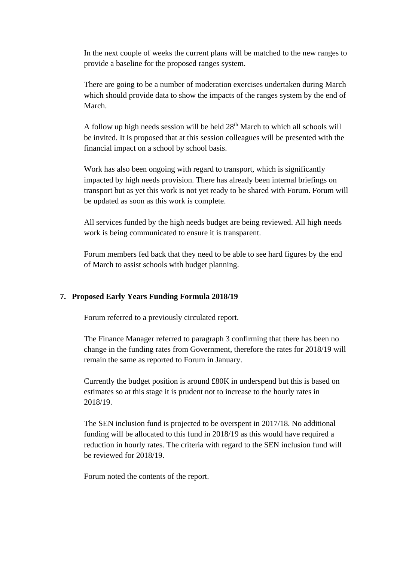In the next couple of weeks the current plans will be matched to the new ranges to provide a baseline for the proposed ranges system.

There are going to be a number of moderation exercises undertaken during March which should provide data to show the impacts of the ranges system by the end of March.

A follow up high needs session will be held  $28<sup>th</sup>$  March to which all schools will be invited. It is proposed that at this session colleagues will be presented with the financial impact on a school by school basis.

Work has also been ongoing with regard to transport, which is significantly impacted by high needs provision. There has already been internal briefings on transport but as yet this work is not yet ready to be shared with Forum. Forum will be updated as soon as this work is complete.

All services funded by the high needs budget are being reviewed. All high needs work is being communicated to ensure it is transparent.

Forum members fed back that they need to be able to see hard figures by the end of March to assist schools with budget planning.

### **7. Proposed Early Years Funding Formula 2018/19**

Forum referred to a previously circulated report.

The Finance Manager referred to paragraph 3 confirming that there has been no change in the funding rates from Government, therefore the rates for 2018/19 will remain the same as reported to Forum in January.

Currently the budget position is around £80K in underspend but this is based on estimates so at this stage it is prudent not to increase to the hourly rates in 2018/19.

The SEN inclusion fund is projected to be overspent in 2017/18. No additional funding will be allocated to this fund in 2018/19 as this would have required a reduction in hourly rates. The criteria with regard to the SEN inclusion fund will be reviewed for 2018/19.

Forum noted the contents of the report.